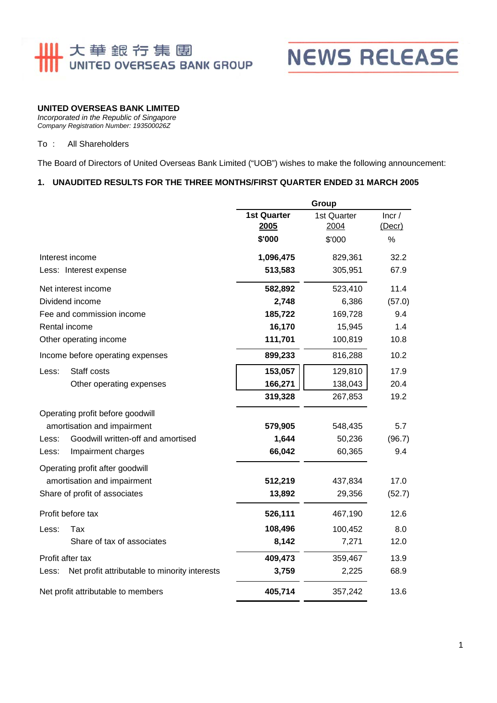

## **NEWS RELEASE**

### **UNITED OVERSEAS BANK LIMITED**

*Incorporated in the Republic of Singapore Company Registration Number: 193500026Z* 

#### To : All Shareholders

The Board of Directors of United Overseas Bank Limited ("UOB") wishes to make the following announcement:

#### **1. UNAUDITED RESULTS FOR THE THREE MONTHS/FIRST QUARTER ENDED 31 MARCH 2005**

|                                                        |                    | Group       |        |  |
|--------------------------------------------------------|--------------------|-------------|--------|--|
|                                                        | <b>1st Quarter</b> | 1st Quarter | Incr/  |  |
|                                                        | 2005               | 2004        | (Decr) |  |
|                                                        | \$'000             | \$'000      | $\%$   |  |
| Interest income                                        | 1,096,475          | 829,361     | 32.2   |  |
| Less: Interest expense                                 | 513,583            | 305,951     | 67.9   |  |
| Net interest income                                    | 582,892            | 523,410     | 11.4   |  |
| Dividend income                                        | 2,748              | 6,386       | (57.0) |  |
| Fee and commission income                              | 185,722            | 169,728     | 9.4    |  |
| Rental income                                          | 16,170             | 15,945      | 1.4    |  |
| Other operating income                                 | 111,701            | 100,819     | 10.8   |  |
| Income before operating expenses                       | 899,233            | 816,288     | 10.2   |  |
| Staff costs<br>Less:                                   | 153,057            | 129,810     | 17.9   |  |
| Other operating expenses                               | 166,271            | 138,043     | 20.4   |  |
|                                                        | 319,328            | 267,853     | 19.2   |  |
| Operating profit before goodwill                       |                    |             |        |  |
| amortisation and impairment                            | 579,905            | 548,435     | 5.7    |  |
| Goodwill written-off and amortised<br>Less:            | 1,644              | 50,236      | (96.7) |  |
| Impairment charges<br>Less:                            | 66,042             | 60,365      | 9.4    |  |
| Operating profit after goodwill                        |                    |             |        |  |
| amortisation and impairment                            | 512,219            | 437,834     | 17.0   |  |
| Share of profit of associates                          | 13,892             | 29,356      | (52.7) |  |
| Profit before tax                                      | 526,111            | 467,190     | 12.6   |  |
| Tax<br>Less:                                           | 108,496            | 100,452     | 8.0    |  |
| Share of tax of associates                             | 8,142              | 7,271       | 12.0   |  |
| Profit after tax                                       | 409,473            | 359,467     | 13.9   |  |
| Net profit attributable to minority interests<br>Less: | 3,759              | 2,225       | 68.9   |  |
| Net profit attributable to members                     | 405,714            | 357,242     | 13.6   |  |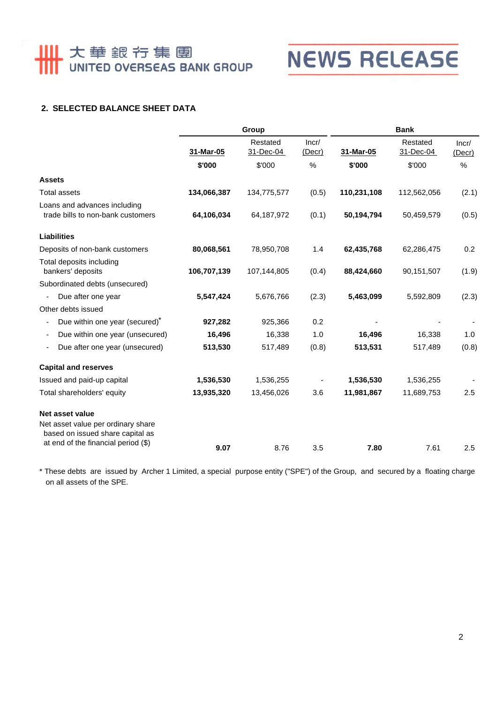# **Ⅲ** 大華銀行集團

## **NEWS RELEASE**

## **2. SELECTED BALANCE SHEET DATA**

|                                                                        | Group       |                       | <b>Bank</b>     |             |                       |                 |
|------------------------------------------------------------------------|-------------|-----------------------|-----------------|-------------|-----------------------|-----------------|
|                                                                        | 31-Mar-05   | Restated<br>31-Dec-04 | Incr/<br>(Decr) | 31-Mar-05   | Restated<br>31-Dec-04 | Incr/<br>(Decr) |
|                                                                        | \$'000      | \$'000                | %               | \$'000      | \$'000                | %               |
| <b>Assets</b>                                                          |             |                       |                 |             |                       |                 |
| <b>Total assets</b>                                                    | 134,066,387 | 134,775,577           | (0.5)           | 110,231,108 | 112,562,056           | (2.1)           |
| Loans and advances including<br>trade bills to non-bank customers      | 64,106,034  | 64,187,972            | (0.1)           | 50,194,794  | 50,459,579            | (0.5)           |
| <b>Liabilities</b>                                                     |             |                       |                 |             |                       |                 |
| Deposits of non-bank customers                                         | 80,068,561  | 78,950,708            | 1.4             | 62,435,768  | 62,286,475            | 0.2             |
| Total deposits including<br>bankers' deposits                          | 106,707,139 | 107,144,805           | (0.4)           | 88,424,660  | 90,151,507            | (1.9)           |
| Subordinated debts (unsecured)                                         |             |                       |                 |             |                       |                 |
| Due after one year<br>$\overline{\phantom{a}}$                         | 5,547,424   | 5,676,766             | (2.3)           | 5,463,099   | 5,592,809             | (2.3)           |
| Other debts issued                                                     |             |                       |                 |             |                       |                 |
| Due within one year (secured) <sup>*</sup><br>$\overline{\phantom{a}}$ | 927,282     | 925,366               | 0.2             |             |                       |                 |
| Due within one year (unsecured)                                        | 16,496      | 16,338                | 1.0             | 16,496      | 16,338                | 1.0             |
| Due after one year (unsecured)<br>$\overline{\phantom{a}}$             | 513,530     | 517,489               | (0.8)           | 513,531     | 517,489               | (0.8)           |
| <b>Capital and reserves</b>                                            |             |                       |                 |             |                       |                 |
| Issued and paid-up capital                                             | 1,536,530   | 1,536,255             |                 | 1,536,530   | 1,536,255             |                 |
| Total shareholders' equity                                             | 13,935,320  | 13,456,026            | 3.6             | 11,981,867  | 11,689,753            | 2.5             |
| <b>Net asset value</b>                                                 |             |                       |                 |             |                       |                 |
| Net asset value per ordinary share<br>based on issued share capital as |             |                       |                 |             |                       |                 |
| at end of the financial period (\$)                                    | 9.07        | 8.76                  | 3.5             | 7.80        | 7.61                  | 2.5             |

 on all assets of the SPE. \* These debts are issued by Archer 1 Limited, a special purpose entity ("SPE") of the Group, and secured by a floating charge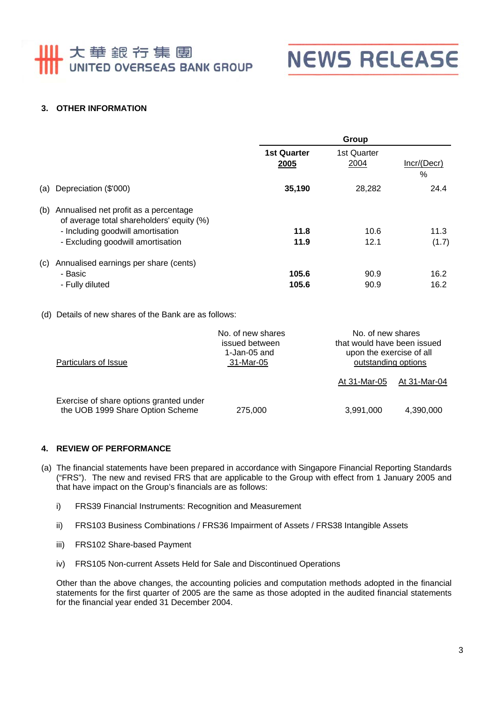## 111 大華銀行集團 UNITED OVERSEAS BANK GROUP



## **3. OTHER INFORMATION**

|                                                                                    | Group                             |                     |                  |
|------------------------------------------------------------------------------------|-----------------------------------|---------------------|------------------|
|                                                                                    | <b>1st Quarter</b><br>2005        | 1st Quarter<br>2004 | Incr/(Decr)<br>% |
| Depreciation (\$'000)                                                              | 35,190                            | 28,282              | 24.4             |
| Annualised net profit as a percentage<br>of average total shareholders' equity (%) |                                   |                     |                  |
|                                                                                    | 11.8                              | 10.6                | 11.3             |
| - Excluding goodwill amortisation                                                  | 11.9                              | 12.1                | (1.7)            |
| Annualised earnings per share (cents)                                              |                                   |                     |                  |
| - Basic                                                                            | 105.6                             | 90.9                | 16.2             |
| - Fully diluted                                                                    | 105.6                             | 90.9                | 16.2             |
|                                                                                    | - Including goodwill amortisation |                     |                  |

(d) Details of new shares of the Bank are as follows:

| Particulars of Issue                                                        | No. of new shares<br>issued between<br>1-Jan-05 and<br>31-Mar-05 | No. of new shares<br>that would have been issued<br>upon the exercise of all<br>outstanding options |              |
|-----------------------------------------------------------------------------|------------------------------------------------------------------|-----------------------------------------------------------------------------------------------------|--------------|
|                                                                             |                                                                  | At 31-Mar-05                                                                                        | At 31-Mar-04 |
| Exercise of share options granted under<br>the UOB 1999 Share Option Scheme | 275,000                                                          | 3,991,000                                                                                           | 4,390,000    |

### **4. REVIEW OF PERFORMANCE**

- (a) The financial statements have been prepared in accordance with Singapore Financial Reporting Standards ("FRS"). The new and revised FRS that are applicable to the Group with effect from 1 January 2005 and that have impact on the Group's financials are as follows:
	- i) FRS39 Financial Instruments: Recognition and Measurement
	- ii) FRS103 Business Combinations / FRS36 Impairment of Assets / FRS38 Intangible Assets
	- iii) FRS102 Share-based Payment
	- iv) FRS105 Non-current Assets Held for Sale and Discontinued Operations

Other than the above changes, the accounting policies and computation methods adopted in the financial statements for the first quarter of 2005 are the same as those adopted in the audited financial statements for the financial year ended 31 December 2004.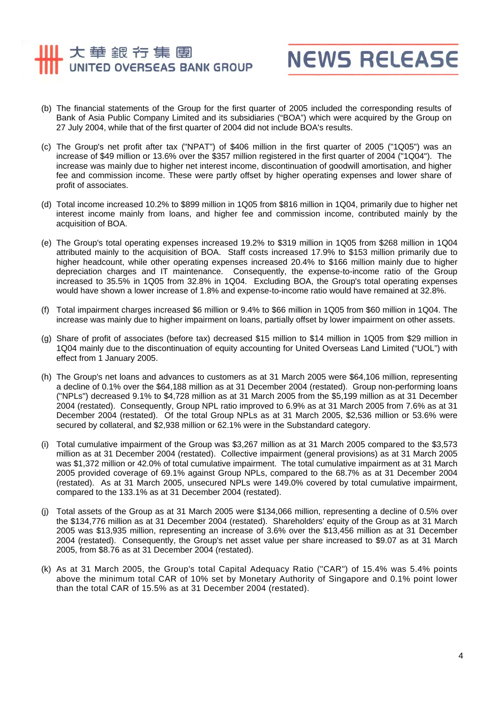## 大華銀行集團 UNITED OVERSEAS BANK GROUP



- (b) The financial statements of the Group for the first quarter of 2005 included the corresponding results of Bank of Asia Public Company Limited and its subsidiaries ("BOA") which were acquired by the Group on 27 July 2004, while that of the first quarter of 2004 did not include BOA's results.
- (c) The Group's net profit after tax ("NPAT") of \$406 million in the first quarter of 2005 ("1Q05") was an increase of \$49 million or 13.6% over the \$357 million registered in the first quarter of 2004 ("1Q04"). The increase was mainly due to higher net interest income, discontinuation of goodwill amortisation, and higher fee and commission income. These were partly offset by higher operating expenses and lower share of profit of associates.
- (d) Total income increased 10.2% to \$899 million in 1Q05 from \$816 million in 1Q04, primarily due to higher net interest income mainly from loans, and higher fee and commission income, contributed mainly by the acquisition of BOA.
- (e) The Group's total operating expenses increased 19.2% to \$319 million in 1Q05 from \$268 million in 1Q04 attributed mainly to the acquisition of BOA. Staff costs increased 17.9% to \$153 million primarily due to higher headcount, while other operating expenses increased 20.4% to \$166 million mainly due to higher depreciation charges and IT maintenance. Consequently, the expense-to-income ratio of the Group increased to 35.5% in 1Q05 from 32.8% in 1Q04. Excluding BOA, the Group's total operating expenses would have shown a lower increase of 1.8% and expense-to-income ratio would have remained at 32.8%.
- (f) Total impairment charges increased \$6 million or 9.4% to \$66 million in 1Q05 from \$60 million in 1Q04. The increase was mainly due to higher impairment on loans, partially offset by lower impairment on other assets.
- (g) Share of profit of associates (before tax) decreased \$15 million to \$14 million in 1Q05 from \$29 million in 1Q04 mainly due to the discontinuation of equity accounting for United Overseas Land Limited ("UOL") with effect from 1 January 2005.
- (h) The Group's net loans and advances to customers as at 31 March 2005 were \$64,106 million, representing a decline of 0.1% over the \$64,188 million as at 31 December 2004 (restated). Group non-performing loans ("NPLs") decreased 9.1% to \$4,728 million as at 31 March 2005 from the \$5,199 million as at 31 December 2004 (restated). Consequently, Group NPL ratio improved to 6.9% as at 31 March 2005 from 7.6% as at 31 December 2004 (restated). Of the total Group NPLs as at 31 March 2005, \$2,536 million or 53.6% were secured by collateral, and \$2,938 million or 62.1% were in the Substandard category.
- (i) Total cumulative impairment of the Group was \$3,267 million as at 31 March 2005 compared to the \$3,573 million as at 31 December 2004 (restated). Collective impairment (general provisions) as at 31 March 2005 was \$1,372 million or 42.0% of total cumulative impairment. The total cumulative impairment as at 31 March 2005 provided coverage of 69.1% against Group NPLs, compared to the 68.7% as at 31 December 2004 (restated). As at 31 March 2005, unsecured NPLs were 149.0% covered by total cumulative impairment, compared to the 133.1% as at 31 December 2004 (restated).
- (j) Total assets of the Group as at 31 March 2005 were \$134,066 million, representing a decline of 0.5% over the \$134,776 million as at 31 December 2004 (restated). Shareholders' equity of the Group as at 31 March 2005 was \$13,935 million, representing an increase of 3.6% over the \$13,456 million as at 31 December 2004 (restated). Consequently, the Group's net asset value per share increased to \$9.07 as at 31 March 2005, from \$8.76 as at 31 December 2004 (restated).
- (k) As at 31 March 2005, the Group's total Capital Adequacy Ratio ("CAR") of 15.4% was 5.4% points above the minimum total CAR of 10% set by Monetary Authority of Singapore and 0.1% point lower than the total CAR of 15.5% as at 31 December 2004 (restated).